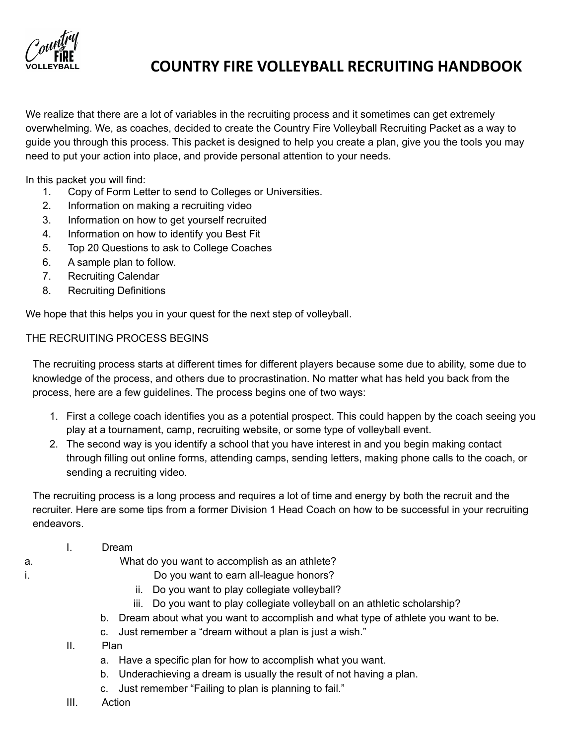

We realize that there are a lot of variables in the recruiting process and it sometimes can get extremely overwhelming. We, as coaches, decided to create the Country Fire Volleyball Recruiting Packet as a way to guide you through this process. This packet is designed to help you create a plan, give you the tools you may need to put your action into place, and provide personal attention to your needs.

In this packet you will find:

- 1. Copy of Form Letter to send to Colleges or Universities.
- 2. Information on making a recruiting video
- 3. Information on how to get yourself recruited
- 4. Information on how to identify you Best Fit
- 5. Top 20 Questions to ask to College Coaches
- 6. A sample plan to follow.
- 7. Recruiting Calendar
- 8. Recruiting Definitions

We hope that this helps you in your quest for the next step of volleyball.

### THE RECRUITING PROCESS BEGINS

The recruiting process starts at different times for different players because some due to ability, some due to knowledge of the process, and others due to procrastination. No matter what has held you back from the process, here are a few guidelines. The process begins one of two ways:

- 1. First a college coach identifies you as a potential prospect. This could happen by the coach seeing you play at a tournament, camp, recruiting website, or some type of volleyball event.
- 2. The second way is you identify a school that you have interest in and you begin making contact through filling out online forms, attending camps, sending letters, making phone calls to the coach, or sending a recruiting video.

The recruiting process is a long process and requires a lot of time and energy by both the recruit and the recruiter. Here are some tips from a former Division 1 Head Coach on how to be successful in your recruiting endeavors.

- I. Dream
- a. What do you want to accomplish as an athlete?
- i. Do you want to earn all-league honors?
	- ii. Do you want to play collegiate volleyball?
	- iii. Do you want to play collegiate volleyball on an athletic scholarship?
	- b. Dream about what you want to accomplish and what type of athlete you want to be.
	- c. Just remember a "dream without a plan is just a wish."
	- II. Plan
		- a. Have a specific plan for how to accomplish what you want.
		- b. Underachieving a dream is usually the result of not having a plan.
		- c. Just remember "Failing to plan is planning to fail."
	- III. Action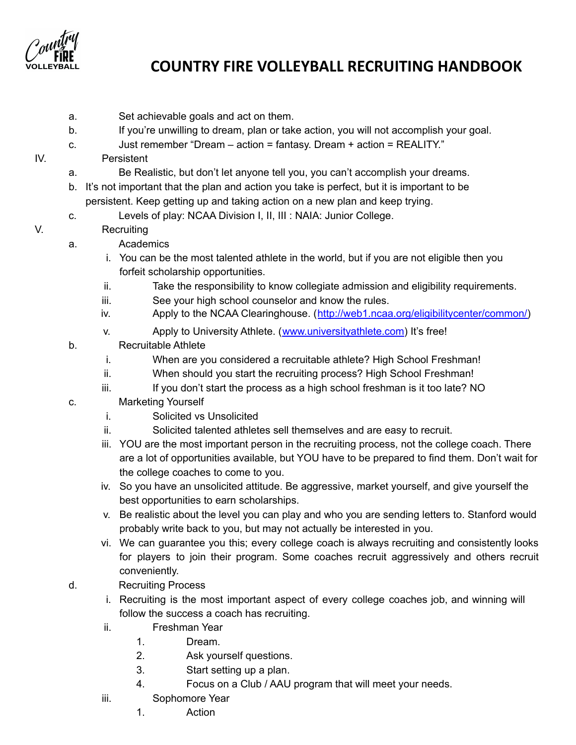

- a. Set achievable goals and act on them.
- b. If you're unwilling to dream, plan or take action, you will not accomplish your goal.
- c. Just remember "Dream action = fantasy. Dream + action = REALITY."
- IV. Persistent
	- a. Be Realistic, but don't let anyone tell you, you can't accomplish your dreams.
	- b. It's not important that the plan and action you take is perfect, but it is important to be persistent. Keep getting up and taking action on a new plan and keep trying.
	- c. Levels of play: NCAA Division I, II, III : NAIA: Junior College.
- V. Recruiting
	- a. Academics
		- i. You can be the most talented athlete in the world, but if you are not eligible then you forfeit scholarship opportunities.
		- ii. Take the responsibility to know collegiate admission and eligibility requirements.
		- iii. See your high school counselor and know the rules.
		- iv. Apply to the NCAA Clearinghouse. ([http://web1.ncaa.org/eligibilitycenter/common/\)](http://web1.ncaa.org/eligibilitycenter/common/)
		- v. Apply to University Athlete. ([www.universityathlete.com\)](http://www.universityathlete.com/) It's free!
	- b. Recruitable Athlete
		- i. When are you considered a recruitable athlete? High School Freshman!
		- ii. When should you start the recruiting process? High School Freshman!
		- iii. If you don't start the process as a high school freshman is it too late? NO
	- c. Marketing Yourself
		- i. Solicited vs Unsolicited
		- ii. Solicited talented athletes sell themselves and are easy to recruit.
		- iii. YOU are the most important person in the recruiting process, not the college coach. There are a lot of opportunities available, but YOU have to be prepared to find them. Don't wait for the college coaches to come to you.
		- iv. So you have an unsolicited attitude. Be aggressive, market yourself, and give yourself the best opportunities to earn scholarships.
		- v. Be realistic about the level you can play and who you are sending letters to. Stanford would probably write back to you, but may not actually be interested in you.
		- vi. We can guarantee you this; every college coach is always recruiting and consistently looks for players to join their program. Some coaches recruit aggressively and others recruit conveniently.
	- d. Recruiting Process
		- i. Recruiting is the most important aspect of every college coaches job, and winning will follow the success a coach has recruiting.
		- ii. Freshman Year
			- 1. Dream.
			- 2. Ask yourself questions.
			- 3. Start setting up a plan.
			- 4. Focus on a Club / AAU program that will meet your needs.
		- iii. Sophomore Year
			- 1. Action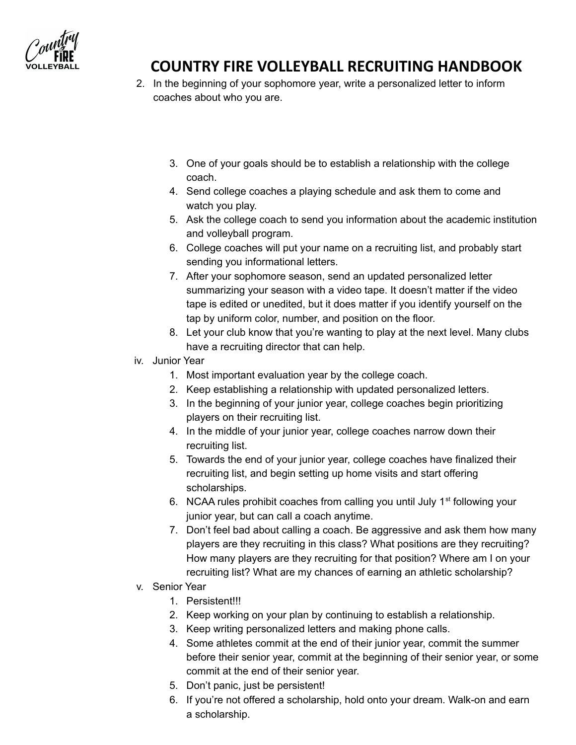

- 2. In the beginning of your sophomore year, write a personalized letter to inform coaches about who you are.
	- 3. One of your goals should be to establish a relationship with the college coach.
	- 4. Send college coaches a playing schedule and ask them to come and watch you play.
	- 5. Ask the college coach to send you information about the academic institution and volleyball program.
	- 6. College coaches will put your name on a recruiting list, and probably start sending you informational letters.
	- 7. After your sophomore season, send an updated personalized letter summarizing your season with a video tape. It doesn't matter if the video tape is edited or unedited, but it does matter if you identify yourself on the tap by uniform color, number, and position on the floor.
	- 8. Let your club know that you're wanting to play at the next level. Many clubs have a recruiting director that can help.
- iv. Junior Year
	- 1. Most important evaluation year by the college coach.
	- 2. Keep establishing a relationship with updated personalized letters.
	- 3. In the beginning of your junior year, college coaches begin prioritizing players on their recruiting list.
	- 4. In the middle of your junior year, college coaches narrow down their recruiting list.
	- 5. Towards the end of your junior year, college coaches have finalized their recruiting list, and begin setting up home visits and start offering scholarships.
	- 6. NCAA rules prohibit coaches from calling you until July  $1<sup>st</sup>$  following your junior year, but can call a coach anytime.
	- 7. Don't feel bad about calling a coach. Be aggressive and ask them how many players are they recruiting in this class? What positions are they recruiting? How many players are they recruiting for that position? Where am I on your recruiting list? What are my chances of earning an athletic scholarship?
- v. Senior Year
	- 1. Persistent!!!
	- 2. Keep working on your plan by continuing to establish a relationship.
	- 3. Keep writing personalized letters and making phone calls.
	- 4. Some athletes commit at the end of their junior year, commit the summer before their senior year, commit at the beginning of their senior year, or some commit at the end of their senior year.
	- 5. Don't panic, just be persistent!
	- 6. If you're not offered a scholarship, hold onto your dream. Walk-on and earn a scholarship.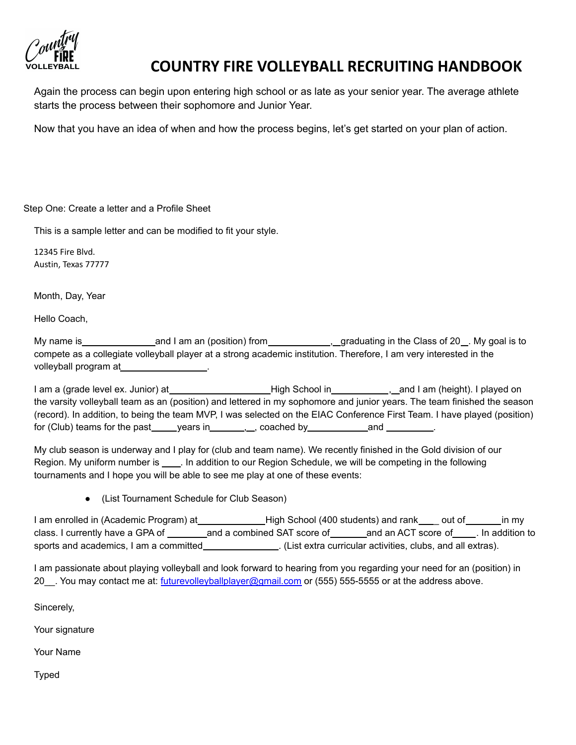

Again the process can begin upon entering high school or as late as your senior year. The average athlete starts the process between their sophomore and Junior Year.

Now that you have an idea of when and how the process begins, let's get started on your plan of action.

Step One: Create a letter and a Profile Sheet

This is a sample letter and can be modified to fit your style.

12345 Fire Blvd. Austin, Texas 77777

Month, Day, Year

Hello Coach,

My name is and I am an (position) from , graduating in the Class of 20 . My goal is to compete as a collegiate volleyball player at a strong academic institution. Therefore, I am very interested in the volleyball program at

I am a (grade level ex. Junior) at **High School in** , and I am (height). I played on the varsity volleyball team as an (position) and lettered in my sophomore and junior years. The team finished the season (record). In addition, to being the team MVP, I was selected on the EIAC Conference First Team. I have played (position) for (Club) teams for the past  $y_1$  , years in  $y_2$ , coached by and and  $y_3$ 

My club season is underway and I play for (club and team name). We recently finished in the Gold division of our Region. My uniform number is . In addition to our Region Schedule, we will be competing in the following tournaments and I hope you will be able to see me play at one of these events:

● (List Tournament Schedule for Club Season)

I am enrolled in (Academic Program) at **High School (400 students) and rank** out of in my class. I currently have a GPA of \_\_\_\_\_\_\_\_\_ and a combined SAT score of \_\_\_\_\_\_\_ and an ACT score of \_\_\_\_\_. In addition to sports and academics, I am a committed . (List extra curricular activities, clubs, and all extras).

I am passionate about playing volleyball and look forward to hearing from you regarding your need for an (position) in 20 . You may contact me at: [futurevolleyballplayer@gmail.com](mailto:futurevolleyballplayer@gmail.com) or (555) 555-5555 or at the address above.

Sincerely,

Your signature

Your Name

Typed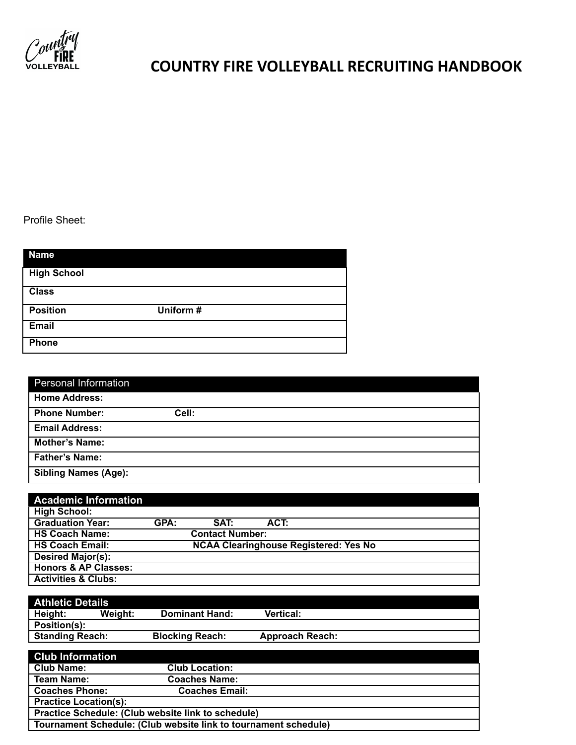

Profile Sheet:

| <b>Name</b>        |           |
|--------------------|-----------|
| <b>High School</b> |           |
| <b>Class</b>       |           |
| <b>Position</b>    | Uniform # |
| <b>Email</b>       |           |
| <b>Phone</b>       |           |

| <b>Personal Information</b> |       |
|-----------------------------|-------|
| <b>Home Address:</b>        |       |
| <b>Phone Number:</b>        | Cell: |
| <b>Email Address:</b>       |       |
| <b>Mother's Name:</b>       |       |
| <b>Father's Name:</b>       |       |
| <b>Sibling Names (Age):</b> |       |

| <b>Academic Information</b>     |                                              |                        |      |  |  |
|---------------------------------|----------------------------------------------|------------------------|------|--|--|
| <b>High School:</b>             |                                              |                        |      |  |  |
| <b>Graduation Year:</b>         | GPA:                                         | SAT:                   | ACT: |  |  |
| <b>HS Coach Name:</b>           |                                              | <b>Contact Number:</b> |      |  |  |
| <b>HS Coach Email:</b>          | <b>NCAA Clearinghouse Registered: Yes No</b> |                        |      |  |  |
| <b>Desired Major(s):</b>        |                                              |                        |      |  |  |
| <b>Honors &amp; AP Classes:</b> |                                              |                        |      |  |  |
| <b>Activities &amp; Clubs:</b>  |                                              |                        |      |  |  |

| <b>Athletic Details</b>                                         |         |                        |                        |  |  |
|-----------------------------------------------------------------|---------|------------------------|------------------------|--|--|
| Height:                                                         | Weight: | <b>Dominant Hand:</b>  | <b>Vertical:</b>       |  |  |
| Position(s):                                                    |         |                        |                        |  |  |
| <b>Standing Reach:</b>                                          |         | <b>Blocking Reach:</b> | <b>Approach Reach:</b> |  |  |
|                                                                 |         |                        |                        |  |  |
| <b>Club Information</b>                                         |         |                        |                        |  |  |
| <b>Club Name:</b>                                               |         | <b>Club Location:</b>  |                        |  |  |
| <b>Team Name:</b>                                               |         | <b>Coaches Name:</b>   |                        |  |  |
| <b>Coaches Phone:</b>                                           |         | <b>Coaches Email:</b>  |                        |  |  |
| <b>Practice Location(s):</b>                                    |         |                        |                        |  |  |
| Practice Schedule: (Club website link to schedule)              |         |                        |                        |  |  |
| Tournament Schedule: (Club website link to tournament schedule) |         |                        |                        |  |  |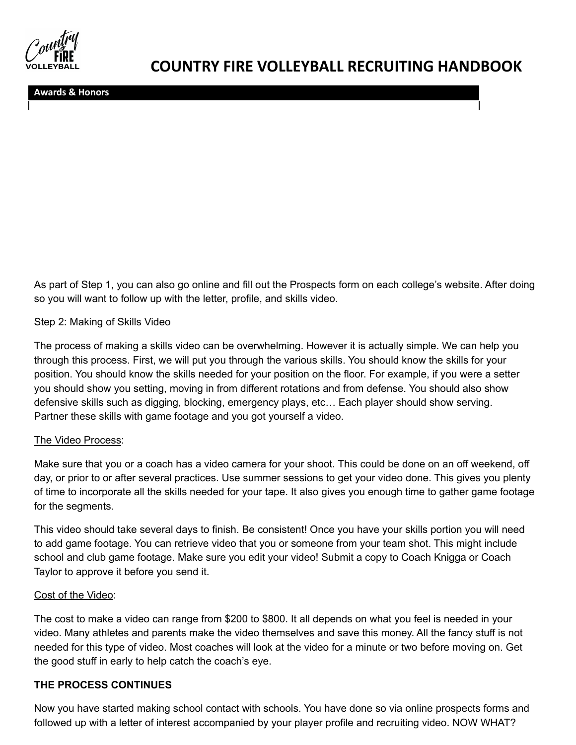**Awards & Honors**

As part of Step 1, you can also go online and fill out the Prospects form on each college's website. After doing so you will want to follow up with the letter, profile, and skills video.

#### Step 2: Making of Skills Video

The process of making a skills video can be overwhelming. However it is actually simple. We can help you through this process. First, we will put you through the various skills. You should know the skills for your position. You should know the skills needed for your position on the floor. For example, if you were a setter you should show you setting, moving in from different rotations and from defense. You should also show defensive skills such as digging, blocking, emergency plays, etc… Each player should show serving. Partner these skills with game footage and you got yourself a video.

#### The Video Process:

Make sure that you or a coach has a video camera for your shoot. This could be done on an off weekend, off day, or prior to or after several practices. Use summer sessions to get your video done. This gives you plenty of time to incorporate all the skills needed for your tape. It also gives you enough time to gather game footage for the segments.

This video should take several days to finish. Be consistent! Once you have your skills portion you will need to add game footage. You can retrieve video that you or someone from your team shot. This might include school and club game footage. Make sure you edit your video! Submit a copy to Coach Knigga or Coach Taylor to approve it before you send it.

#### Cost of the Video:

The cost to make a video can range from \$200 to \$800. It all depends on what you feel is needed in your video. Many athletes and parents make the video themselves and save this money. All the fancy stuff is not needed for this type of video. Most coaches will look at the video for a minute or two before moving on. Get the good stuff in early to help catch the coach's eye.

#### **THE PROCESS CONTINUES**

Now you have started making school contact with schools. You have done so via online prospects forms and followed up with a letter of interest accompanied by your player profile and recruiting video. NOW WHAT?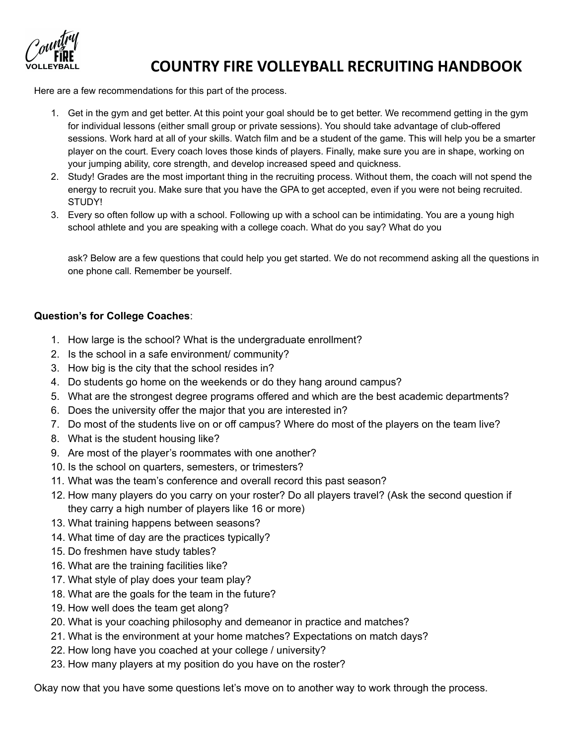Here are a few recommendations for this part of the process.

- 1. Get in the gym and get better. At this point your goal should be to get better. We recommend getting in the gym for individual lessons (either small group or private sessions). You should take advantage of club-offered sessions. Work hard at all of your skills. Watch film and be a student of the game. This will help you be a smarter player on the court. Every coach loves those kinds of players. Finally, make sure you are in shape, working on your jumping ability, core strength, and develop increased speed and quickness.
- 2. Study! Grades are the most important thing in the recruiting process. Without them, the coach will not spend the energy to recruit you. Make sure that you have the GPA to get accepted, even if you were not being recruited. STUDY!
- 3. Every so often follow up with a school. Following up with a school can be intimidating. You are a young high school athlete and you are speaking with a college coach. What do you say? What do you

ask? Below are a few questions that could help you get started. We do not recommend asking all the questions in one phone call. Remember be yourself.

#### **Question's for College Coaches**:

- 1. How large is the school? What is the undergraduate enrollment?
- 2. Is the school in a safe environment/ community?
- 3. How big is the city that the school resides in?
- 4. Do students go home on the weekends or do they hang around campus?
- 5. What are the strongest degree programs offered and which are the best academic departments?
- 6. Does the university offer the major that you are interested in?
- 7. Do most of the students live on or off campus? Where do most of the players on the team live?
- 8. What is the student housing like?
- 9. Are most of the player's roommates with one another?
- 10. Is the school on quarters, semesters, or trimesters?
- 11. What was the team's conference and overall record this past season?
- 12. How many players do you carry on your roster? Do all players travel? (Ask the second question if they carry a high number of players like 16 or more)
- 13. What training happens between seasons?
- 14. What time of day are the practices typically?
- 15. Do freshmen have study tables?
- 16. What are the training facilities like?
- 17. What style of play does your team play?
- 18. What are the goals for the team in the future?
- 19. How well does the team get along?
- 20. What is your coaching philosophy and demeanor in practice and matches?
- 21. What is the environment at your home matches? Expectations on match days?
- 22. How long have you coached at your college / university?
- 23. How many players at my position do you have on the roster?

Okay now that you have some questions let's move on to another way to work through the process.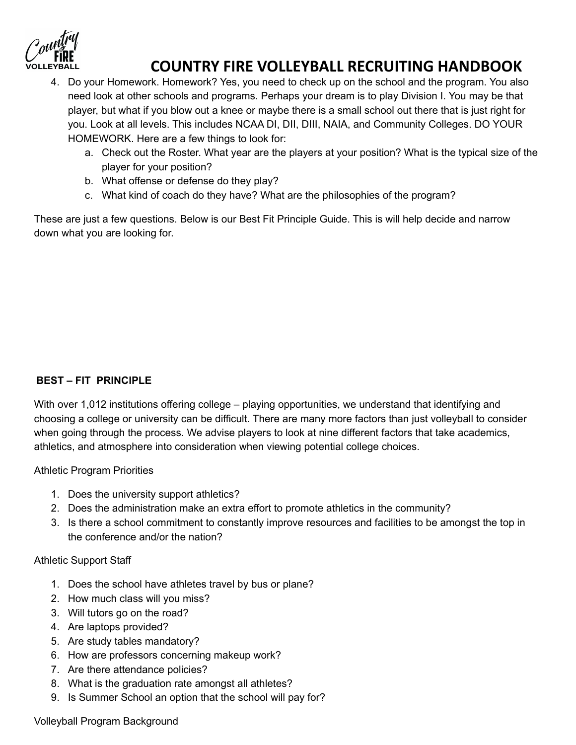- 4. Do your Homework. Homework? Yes, you need to check up on the school and the program. You also need look at other schools and programs. Perhaps your dream is to play Division I. You may be that player, but what if you blow out a knee or maybe there is a small school out there that is just right for you. Look at all levels. This includes NCAA DI, DII, DIII, NAIA, and Community Colleges. DO YOUR HOMEWORK. Here are a few things to look for:
	- a. Check out the Roster. What year are the players at your position? What is the typical size of the player for your position?
	- b. What offense or defense do they play?
	- c. What kind of coach do they have? What are the philosophies of the program?

These are just a few questions. Below is our Best Fit Principle Guide. This is will help decide and narrow down what you are looking for.

### **BEST – FIT PRINCIPLE**

With over 1,012 institutions offering college – playing opportunities, we understand that identifying and choosing a college or university can be difficult. There are many more factors than just volleyball to consider when going through the process. We advise players to look at nine different factors that take academics, athletics, and atmosphere into consideration when viewing potential college choices.

Athletic Program Priorities

- 1. Does the university support athletics?
- 2. Does the administration make an extra effort to promote athletics in the community?
- 3. Is there a school commitment to constantly improve resources and facilities to be amongst the top in the conference and/or the nation?

### Athletic Support Staff

- 1. Does the school have athletes travel by bus or plane?
- 2. How much class will you miss?
- 3. Will tutors go on the road?
- 4. Are laptops provided?
- 5. Are study tables mandatory?
- 6. How are professors concerning makeup work?
- 7. Are there attendance policies?
- 8. What is the graduation rate amongst all athletes?
- 9. Is Summer School an option that the school will pay for?

### Volleyball Program Background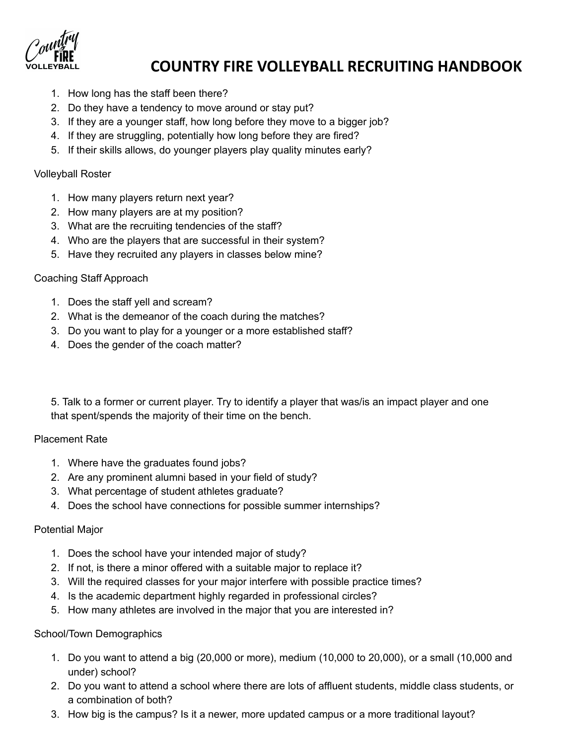- 1. How long has the staff been there?
- 2. Do they have a tendency to move around or stay put?
- 3. If they are a younger staff, how long before they move to a bigger job?
- 4. If they are struggling, potentially how long before they are fired?
- 5. If their skills allows, do younger players play quality minutes early?

#### Volleyball Roster

- 1. How many players return next year?
- 2. How many players are at my position?
- 3. What are the recruiting tendencies of the staff?
- 4. Who are the players that are successful in their system?
- 5. Have they recruited any players in classes below mine?

#### Coaching Staff Approach

- 1. Does the staff yell and scream?
- 2. What is the demeanor of the coach during the matches?
- 3. Do you want to play for a younger or a more established staff?
- 4. Does the gender of the coach matter?

5. Talk to a former or current player. Try to identify a player that was/is an impact player and one that spent/spends the majority of their time on the bench.

#### Placement Rate

- 1. Where have the graduates found jobs?
- 2. Are any prominent alumni based in your field of study?
- 3. What percentage of student athletes graduate?
- 4. Does the school have connections for possible summer internships?

#### Potential Major

- 1. Does the school have your intended major of study?
- 2. If not, is there a minor offered with a suitable major to replace it?
- 3. Will the required classes for your major interfere with possible practice times?
- 4. Is the academic department highly regarded in professional circles?
- 5. How many athletes are involved in the major that you are interested in?

#### School/Town Demographics

- 1. Do you want to attend a big (20,000 or more), medium (10,000 to 20,000), or a small (10,000 and under) school?
- 2. Do you want to attend a school where there are lots of affluent students, middle class students, or a combination of both?
- 3. How big is the campus? Is it a newer, more updated campus or a more traditional layout?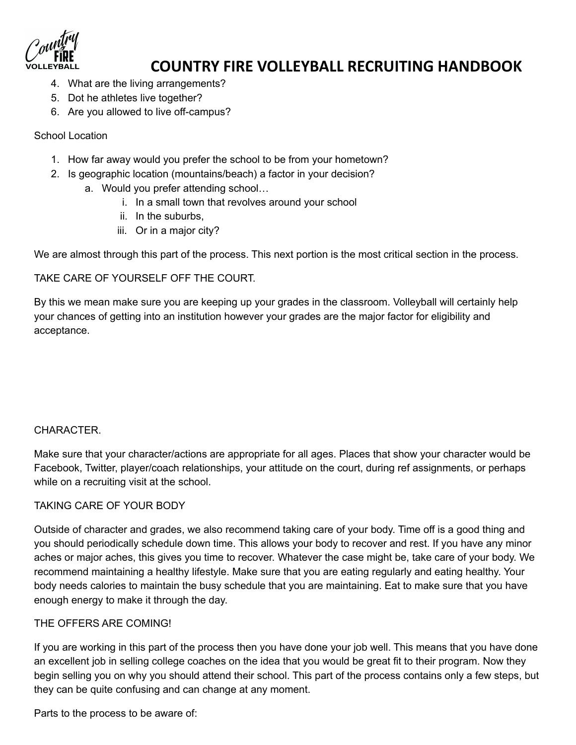- 4. What are the living arrangements?
- 5. Dot he athletes live together?
- 6. Are you allowed to live off-campus?

#### School Location

- 1. How far away would you prefer the school to be from your hometown?
- 2. Is geographic location (mountains/beach) a factor in your decision?
	- a. Would you prefer attending school…
		- i. In a small town that revolves around your school
		- ii. In the suburbs,
		- iii. Or in a major city?

We are almost through this part of the process. This next portion is the most critical section in the process.

TAKE CARE OF YOURSELF OFF THE COURT.

By this we mean make sure you are keeping up your grades in the classroom. Volleyball will certainly help your chances of getting into an institution however your grades are the major factor for eligibility and acceptance.

### CHARACTER.

Make sure that your character/actions are appropriate for all ages. Places that show your character would be Facebook, Twitter, player/coach relationships, your attitude on the court, during ref assignments, or perhaps while on a recruiting visit at the school.

#### TAKING CARE OF YOUR BODY

Outside of character and grades, we also recommend taking care of your body. Time off is a good thing and you should periodically schedule down time. This allows your body to recover and rest. If you have any minor aches or major aches, this gives you time to recover. Whatever the case might be, take care of your body. We recommend maintaining a healthy lifestyle. Make sure that you are eating regularly and eating healthy. Your body needs calories to maintain the busy schedule that you are maintaining. Eat to make sure that you have enough energy to make it through the day.

#### THE OFFERS ARE COMING!

If you are working in this part of the process then you have done your job well. This means that you have done an excellent job in selling college coaches on the idea that you would be great fit to their program. Now they begin selling you on why you should attend their school. This part of the process contains only a few steps, but they can be quite confusing and can change at any moment.

Parts to the process to be aware of: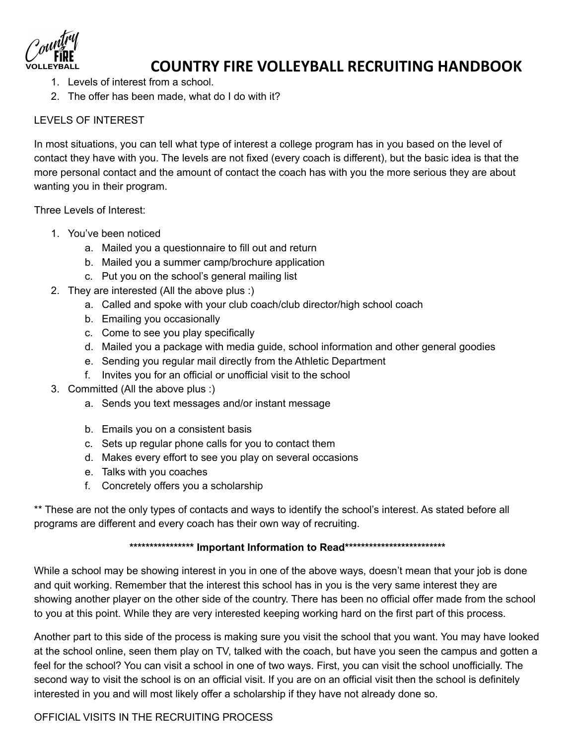- 1. Levels of interest from a school.
- 2. The offer has been made, what do I do with it?

### LEVELS OF INTEREST

In most situations, you can tell what type of interest a college program has in you based on the level of contact they have with you. The levels are not fixed (every coach is different), but the basic idea is that the more personal contact and the amount of contact the coach has with you the more serious they are about wanting you in their program.

Three Levels of Interest:

- 1. You've been noticed
	- a. Mailed you a questionnaire to fill out and return
	- b. Mailed you a summer camp/brochure application
	- c. Put you on the school's general mailing list
- 2. They are interested (All the above plus :)
	- a. Called and spoke with your club coach/club director/high school coach
	- b. Emailing you occasionally
	- c. Come to see you play specifically
	- d. Mailed you a package with media guide, school information and other general goodies
	- e. Sending you regular mail directly from the Athletic Department
	- f. Invites you for an official or unofficial visit to the school
- 3. Committed (All the above plus :)
	- a. Sends you text messages and/or instant message
	- b. Emails you on a consistent basis
	- c. Sets up regular phone calls for you to contact them
	- d. Makes every effort to see you play on several occasions
	- e. Talks with you coaches
	- f. Concretely offers you a scholarship

\*\* These are not the only types of contacts and ways to identify the school's interest. As stated before all programs are different and every coach has their own way of recruiting.

### **\*\*\*\*\*\*\*\*\*\*\*\*\*\*\*\* Important Information to Read\*\*\*\*\*\*\*\*\*\*\*\*\*\*\*\*\*\*\*\*\*\*\*\*\***

While a school may be showing interest in you in one of the above ways, doesn't mean that your job is done and quit working. Remember that the interest this school has in you is the very same interest they are showing another player on the other side of the country. There has been no official offer made from the school to you at this point. While they are very interested keeping working hard on the first part of this process.

Another part to this side of the process is making sure you visit the school that you want. You may have looked at the school online, seen them play on TV, talked with the coach, but have you seen the campus and gotten a feel for the school? You can visit a school in one of two ways. First, you can visit the school unofficially. The second way to visit the school is on an official visit. If you are on an official visit then the school is definitely interested in you and will most likely offer a scholarship if they have not already done so.

### OFFICIAL VISITS IN THE RECRUITING PROCESS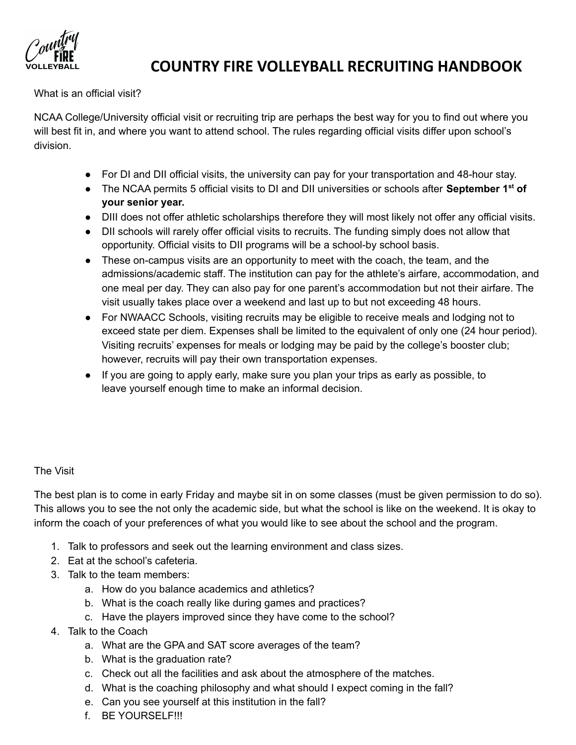

#### What is an official visit?

NCAA College/University official visit or recruiting trip are perhaps the best way for you to find out where you will best fit in, and where you want to attend school. The rules regarding official visits differ upon school's division.

- For DI and DII official visits, the university can pay for your transportation and 48-hour stay.
- **●** The NCAA permits 5 official visits to DI and DII universities or schools after **September 1 st of your senior year.**
- DIII does not offer athletic scholarships therefore they will most likely not offer any official visits.
- DII schools will rarely offer official visits to recruits. The funding simply does not allow that opportunity. Official visits to DII programs will be a school-by school basis.
- These on-campus visits are an opportunity to meet with the coach, the team, and the admissions/academic staff. The institution can pay for the athlete's airfare, accommodation, and one meal per day. They can also pay for one parent's accommodation but not their airfare. The visit usually takes place over a weekend and last up to but not exceeding 48 hours.
- For NWAACC Schools, visiting recruits may be eligible to receive meals and lodging not to exceed state per diem. Expenses shall be limited to the equivalent of only one (24 hour period). Visiting recruits' expenses for meals or lodging may be paid by the college's booster club; however, recruits will pay their own transportation expenses.
- If you are going to apply early, make sure you plan your trips as early as possible, to leave yourself enough time to make an informal decision.

#### The Visit

The best plan is to come in early Friday and maybe sit in on some classes (must be given permission to do so). This allows you to see the not only the academic side, but what the school is like on the weekend. It is okay to inform the coach of your preferences of what you would like to see about the school and the program.

- 1. Talk to professors and seek out the learning environment and class sizes.
- 2. Eat at the school's cafeteria.
- 3. Talk to the team members:
	- a. How do you balance academics and athletics?
	- b. What is the coach really like during games and practices?
	- c. Have the players improved since they have come to the school?
- 4. Talk to the Coach
	- a. What are the GPA and SAT score averages of the team?
	- b. What is the graduation rate?
	- c. Check out all the facilities and ask about the atmosphere of the matches.
	- d. What is the coaching philosophy and what should I expect coming in the fall?
	- e. Can you see yourself at this institution in the fall?
	- f. BE YOURSELF!!!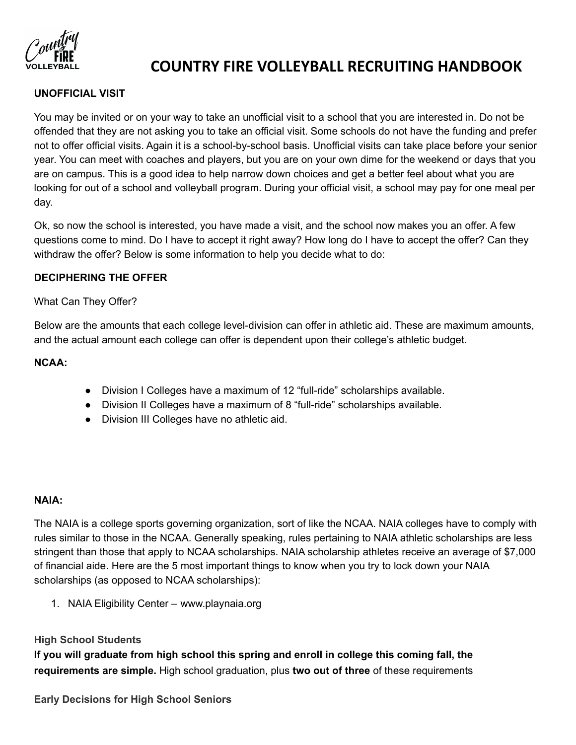

### **UNOFFICIAL VISIT**

You may be invited or on your way to take an unofficial visit to a school that you are interested in. Do not be offended that they are not asking you to take an official visit. Some schools do not have the funding and prefer not to offer official visits. Again it is a school-by-school basis. Unofficial visits can take place before your senior year. You can meet with coaches and players, but you are on your own dime for the weekend or days that you are on campus. This is a good idea to help narrow down choices and get a better feel about what you are looking for out of a school and volleyball program. During your official visit, a school may pay for one meal per day.

Ok, so now the school is interested, you have made a visit, and the school now makes you an offer. A few questions come to mind. Do I have to accept it right away? How long do I have to accept the offer? Can they withdraw the offer? Below is some information to help you decide what to do:

#### **DECIPHERING THE OFFER**

#### What Can They Offer?

Below are the amounts that each college level-division can offer in athletic aid. These are maximum amounts, and the actual amount each college can offer is dependent upon their college's athletic budget.

#### **NCAA:**

- Division I Colleges have a maximum of 12 "full-ride" scholarships available.
- Division II Colleges have a maximum of 8 "full-ride" scholarships available.
- Division III Colleges have no athletic aid.

#### **NAIA:**

The NAIA is a college sports governing organization, sort of like the NCAA. NAIA colleges have to comply with rules similar to those in the NCAA. Generally speaking, rules pertaining to NAIA athletic scholarships are less stringent than those that apply to NCAA scholarships. NAIA scholarship athletes receive an average of \$7,000 of financial aide. Here are the 5 most important things to know when you try to lock down your NAIA scholarships (as opposed to NCAA scholarships):

1. NAIA Eligibility Center – [www.playnaia.org](http://www.playnaia.org/)

#### **High School Students**

**If you will graduate from high school this spring and enroll in college this coming fall, the requirements are simple.** High school graduation, plus **two out of three** of these requirements

**Early Decisions for High School Seniors**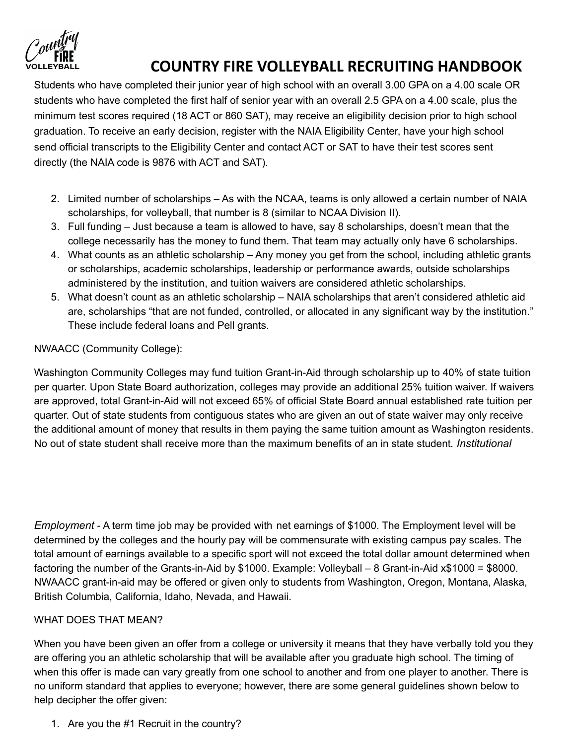

Students who have completed their junior year of high school with an overall 3.00 GPA on a 4.00 scale OR students who have completed the first half of senior year with an overall 2.5 GPA on a 4.00 scale, plus the minimum test scores required (18 ACT or 860 SAT), may receive an eligibility decision prior to high school graduation. To receive an early decision, register with the NAIA Eligibility Center, have your high school send official transcripts to the Eligibility Center and contact ACT or SAT to have their test scores sent directly (the NAIA code is 9876 with ACT and SAT).

- 2. Limited number of scholarships As with the NCAA, teams is only allowed a certain number of NAIA scholarships, for volleyball, that number is 8 (similar to NCAA Division II).
- 3. Full funding Just because a team is allowed to have, say 8 scholarships, doesn't mean that the college necessarily has the money to fund them. That team may actually only have 6 scholarships.
- 4. What counts as an athletic scholarship Any money you get from the school, including athletic grants or scholarships, academic scholarships, leadership or performance awards, outside scholarships administered by the institution, and tuition waivers are considered athletic scholarships.
- 5. What doesn't count as an athletic scholarship NAIA scholarships that aren't considered athletic aid are, scholarships "that are not funded, controlled, or allocated in any significant way by the institution." These include federal loans and Pell grants.

### NWAACC (Community College):

Washington Community Colleges may fund tuition Grant-in-Aid through scholarship up to 40% of state tuition per quarter. Upon State Board authorization, colleges may provide an additional 25% tuition waiver. If waivers are approved, total Grant-in-Aid will not exceed 65% of official State Board annual established rate tuition per quarter. Out of state students from contiguous states who are given an out of state waiver may only receive the additional amount of money that results in them paying the same tuition amount as Washington residents. No out of state student shall receive more than the maximum benefits of an in state student*. Institutional*

*Employment* - A term time job may be provided with net earnings of \$1000. The Employment level will be determined by the colleges and the hourly pay will be commensurate with existing campus pay scales. The total amount of earnings available to a specific sport will not exceed the total dollar amount determined when factoring the number of the Grants-in-Aid by \$1000. Example: Volleyball – 8 Grant-in-Aid x\$1000 = \$8000. NWAACC grant-in-aid may be offered or given only to students from Washington, Oregon, Montana, Alaska, British Columbia, California, Idaho, Nevada, and Hawaii.

### WHAT DOES THAT MEAN?

When you have been given an offer from a college or university it means that they have verbally told you they are offering you an athletic scholarship that will be available after you graduate high school. The timing of when this offer is made can vary greatly from one school to another and from one player to another. There is no uniform standard that applies to everyone; however, there are some general guidelines shown below to help decipher the offer given:

1. Are you the #1 Recruit in the country?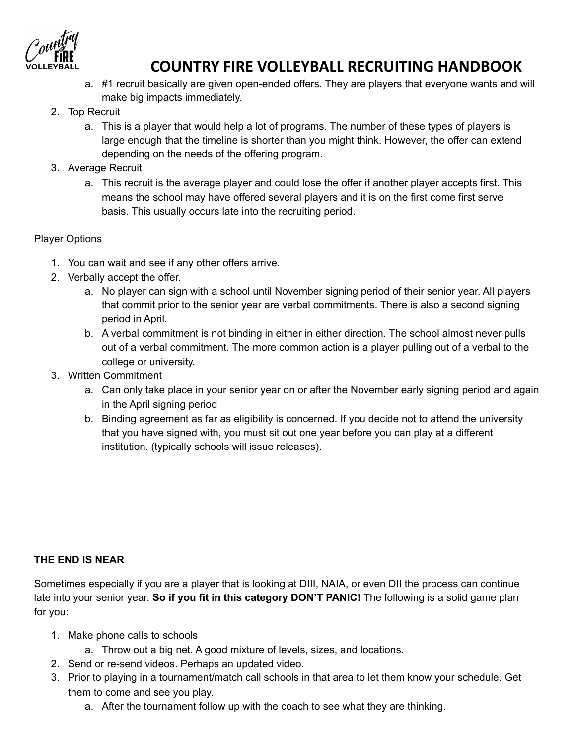- a. #1 recruit basically are given open-ended offers. They are players that everyone wants and will make big impacts immediately.
- 2. Top Recruit
	- a. This is a player that would help a lot of programs. The number of these types of players is large enough that the timeline is shorter than you might think. However, the offer can extend depending on the needs of the offering program.
- 3. Average Recruit
	- a. This recruit is the average player and could lose the offer if another player accepts first. This means the school may have offered several players and it is on the first come first serve basis. This usually occurs late into the recruiting period.

### Player Options

- 1. You can wait and see if any other offers arrive.
- 2. Verbally accept the offer.
	- a. No player can sign with a school until November signing period of their senior year. All players that commit prior to the senior year are verbal commitments. There is also a second signing period in April.
	- b. A verbal commitment is not binding in either in either direction. The school almost never pulls out of a verbal commitment. The more common action is a player pulling out of a verbal to the college or university.
- 3. Written Commitment
	- a. Can only take place in your senior year on or after the November early signing period and again in the April signing period
	- b. Binding agreement as far as eligibility is concerned. If you decide not to attend the university that you have signed with, you must sit out one year before you can play at a different institution. (typically schools will issue releases).

### **THE END IS NEAR**

Sometimes especially if you are a player that is looking at DIII, NAIA, or even DII the process can continue late into your senior year. **So if you fit in this category DON'T PANIC!** The following is a solid game plan for you:

- 1. Make phone calls to schools
	- a. Throw out a big net. A good mixture of levels, sizes, and locations.
- 2. Send or re-send videos. Perhaps an updated video.
- 3. Prior to playing in a tournament/match call schools in that area to let them know your schedule. Get them to come and see you play.
	- a. After the tournament follow up with the coach to see what they are thinking.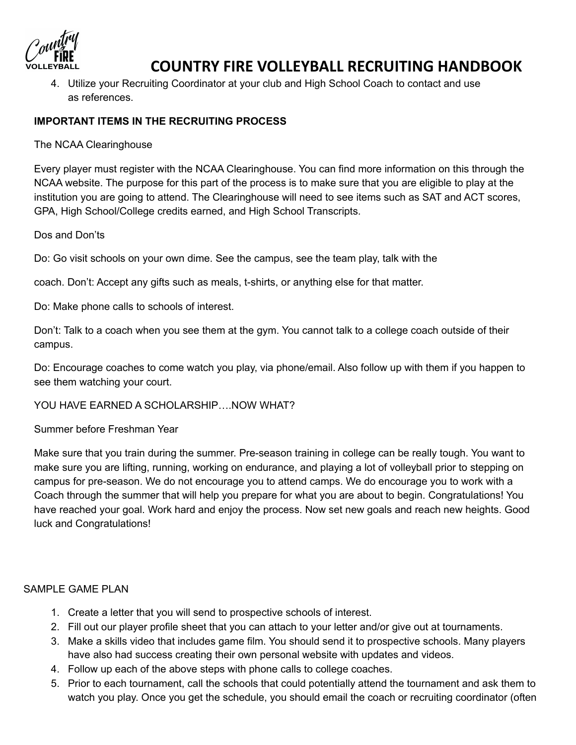4. Utilize your Recruiting Coordinator at your club and High School Coach to contact and use as references.

### **IMPORTANT ITEMS IN THE RECRUITING PROCESS**

The NCAA Clearinghouse

Every player must register with the NCAA Clearinghouse. You can find more information on this through the NCAA website. The purpose for this part of the process is to make sure that you are eligible to play at the institution you are going to attend. The Clearinghouse will need to see items such as SAT and ACT scores, GPA, High School/College credits earned, and High School Transcripts.

Dos and Don'ts

Do: Go visit schools on your own dime. See the campus, see the team play, talk with the

coach. Don't: Accept any gifts such as meals, t-shirts, or anything else for that matter.

Do: Make phone calls to schools of interest.

Don't: Talk to a coach when you see them at the gym. You cannot talk to a college coach outside of their campus.

Do: Encourage coaches to come watch you play, via phone/email. Also follow up with them if you happen to see them watching your court.

YOU HAVE EARNED A SCHOLARSHIP….NOW WHAT?

Summer before Freshman Year

Make sure that you train during the summer. Pre-season training in college can be really tough. You want to make sure you are lifting, running, working on endurance, and playing a lot of volleyball prior to stepping on campus for pre-season. We do not encourage you to attend camps. We do encourage you to work with a Coach through the summer that will help you prepare for what you are about to begin. Congratulations! You have reached your goal. Work hard and enjoy the process. Now set new goals and reach new heights. Good luck and Congratulations!

#### SAMPLE GAME PLAN

- 1. Create a letter that you will send to prospective schools of interest.
- 2. Fill out our player profile sheet that you can attach to your letter and/or give out at tournaments.
- 3. Make a skills video that includes game film. You should send it to prospective schools. Many players have also had success creating their own personal website with updates and videos.
- 4. Follow up each of the above steps with phone calls to college coaches.
- 5. Prior to each tournament, call the schools that could potentially attend the tournament and ask them to watch you play. Once you get the schedule, you should email the coach or recruiting coordinator (often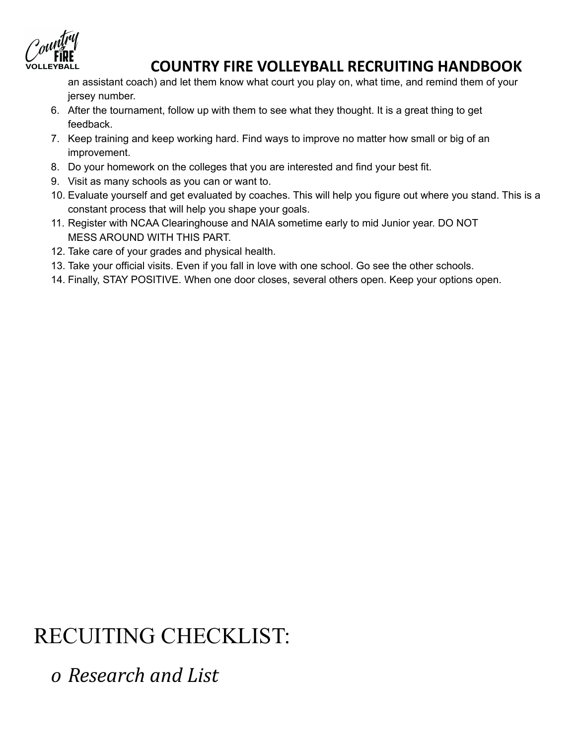

an assistant coach) and let them know what court you play on, what time, and remind them of your jersey number.

- 6. After the tournament, follow up with them to see what they thought. It is a great thing to get feedback.
- 7. Keep training and keep working hard. Find ways to improve no matter how small or big of an improvement.
- 8. Do your homework on the colleges that you are interested and find your best fit.
- 9. Visit as many schools as you can or want to.
- 10. Evaluate yourself and get evaluated by coaches. This will help you figure out where you stand. This is a constant process that will help you shape your goals.
- 11. Register with NCAA Clearinghouse and NAIA sometime early to mid Junior year. DO NOT MESS AROUND WITH THIS PART.
- 12. Take care of your grades and physical health.
- 13. Take your official visits. Even if you fall in love with one school. Go see the other schools.
- 14. Finally, STAY POSITIVE. When one door closes, several others open. Keep your options open.

# RECUITING CHECKLIST:

*o Research and List*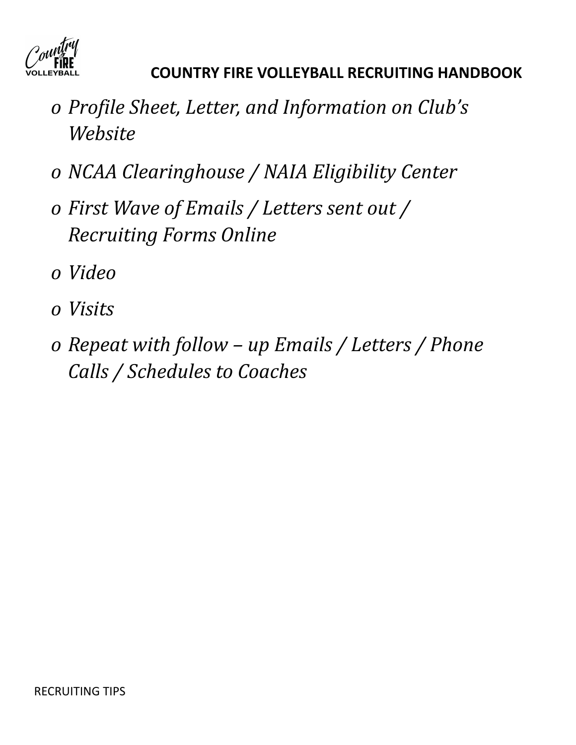

- *o Profile Sheet, Letter, and Information on Club's Website*
- *o NCAA Clearinghouse / NAIA Eligibility Center*
- *o First Wave of Emails / Letters sent out / Recruiting Forms Online*
- *o Video*
- *o Visits*
- *o Repeat with follow – up Emails / Letters / Phone Calls / Schedules to Coaches*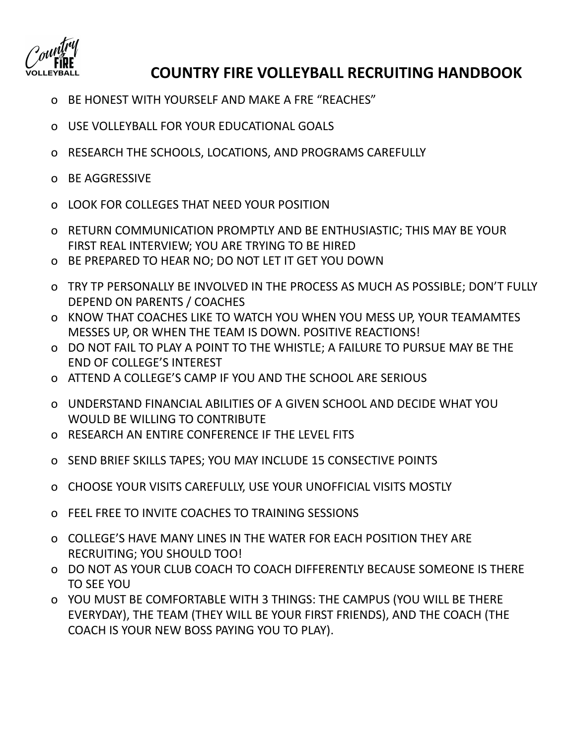

- o BE HONEST WITH YOURSELF AND MAKE A FRE "REACHES"
- o USE VOLLEYBALL FOR YOUR EDUCATIONAL GOALS
- o RESEARCH THE SCHOOLS, LOCATIONS, AND PROGRAMS CAREFULLY
- o BE AGGRESSIVE
- o LOOK FOR COLLEGES THAT NEED YOUR POSITION
- o RETURN COMMUNICATION PROMPTLY AND BE ENTHUSIASTIC; THIS MAY BE YOUR FIRST REAL INTERVIEW; YOU ARE TRYING TO BE HIRED
- o BE PREPARED TO HEAR NO; DO NOT LET IT GET YOU DOWN
- o TRY TP PERSONALLY BE INVOLVED IN THE PROCESS AS MUCH AS POSSIBLE; DON'T FULLY DEPEND ON PARENTS / COACHES
- o KNOW THAT COACHES LIKE TO WATCH YOU WHEN YOU MESS UP, YOUR TEAMAMTES MESSES UP, OR WHEN THE TEAM IS DOWN. POSITIVE REACTIONS!
- o DO NOT FAIL TO PLAY A POINT TO THE WHISTLE; A FAILURE TO PURSUE MAY BE THE END OF COLLEGE'S INTEREST
- o ATTEND A COLLEGE'S CAMP IF YOU AND THE SCHOOL ARE SERIOUS
- o UNDERSTAND FINANCIAL ABILITIES OF A GIVEN SCHOOL AND DECIDE WHAT YOU WOULD BE WILLING TO CONTRIBUTE
- o RESEARCH AN ENTIRE CONFERENCE IF THE LEVEL FITS
- o SEND BRIEF SKILLS TAPES; YOU MAY INCLUDE 15 CONSECTIVE POINTS
- o CHOOSE YOUR VISITS CAREFULLY, USE YOUR UNOFFICIAL VISITS MOSTLY
- o FEEL FREE TO INVITE COACHES TO TRAINING SESSIONS
- o COLLEGE'S HAVE MANY LINES IN THE WATER FOR EACH POSITION THEY ARE RECRUITING; YOU SHOULD TOO!
- o DO NOT AS YOUR CLUB COACH TO COACH DIFFERENTLY BECAUSE SOMEONE IS THERE TO SEE YOU
- o YOU MUST BE COMFORTABLE WITH 3 THINGS: THE CAMPUS (YOU WILL BE THERE EVERYDAY), THE TEAM (THEY WILL BE YOUR FIRST FRIENDS), AND THE COACH (THE COACH IS YOUR NEW BOSS PAYING YOU TO PLAY).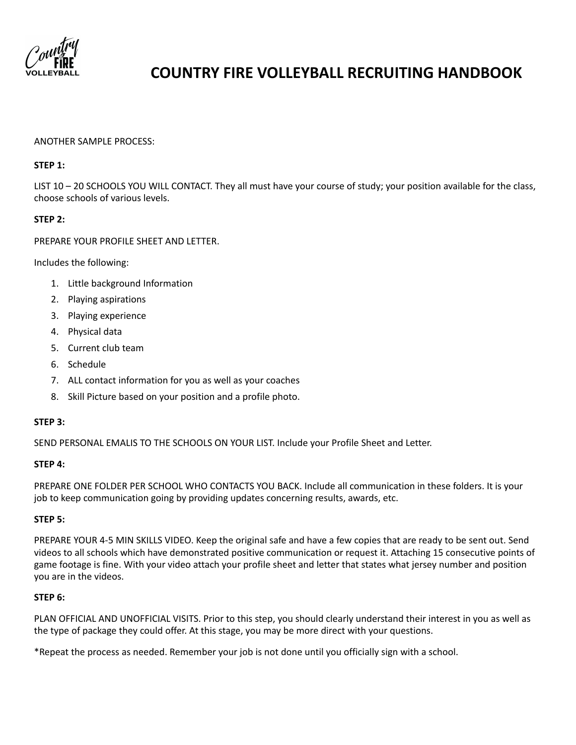

#### ANOTHER SAMPLE PROCESS:

#### **STEP 1:**

LIST 10 – 20 SCHOOLS YOU WILL CONTACT. They all must have your course of study; your position available for the class, choose schools of various levels.

#### **STEP 2:**

PREPARE YOUR PROFILE SHEET AND LETTER.

Includes the following:

- 1. Little background Information
- 2. Playing aspirations
- 3. Playing experience
- 4. Physical data
- 5. Current club team
- 6. Schedule
- 7. ALL contact information for you as well as your coaches
- 8. Skill Picture based on your position and a profile photo.

#### **STEP 3:**

SEND PERSONAL EMALIS TO THE SCHOOLS ON YOUR LIST. Include your Profile Sheet and Letter.

#### **STEP 4:**

PREPARE ONE FOLDER PER SCHOOL WHO CONTACTS YOU BACK. Include all communication in these folders. It is your job to keep communication going by providing updates concerning results, awards, etc.

#### **STEP 5:**

PREPARE YOUR 4-5 MIN SKILLS VIDEO. Keep the original safe and have a few copies that are ready to be sent out. Send videos to all schools which have demonstrated positive communication or request it. Attaching 15 consecutive points of game footage is fine. With your video attach your profile sheet and letter that states what jersey number and position you are in the videos.

#### **STEP 6:**

PLAN OFFICIAL AND UNOFFICIAL VISITS. Prior to this step, you should clearly understand their interest in you as well as the type of package they could offer. At this stage, you may be more direct with your questions.

\*Repeat the process as needed. Remember your job is not done until you officially sign with a school.